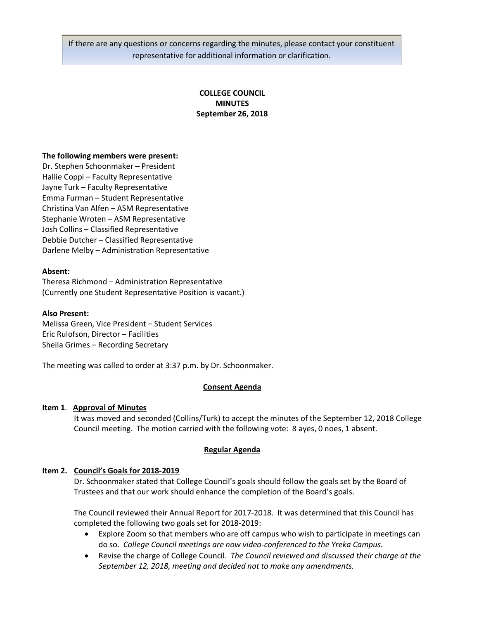If there are any questions or concerns regarding the minutes, please contact your constituent representative for additional information or clarification.

# **COLLEGE COUNCIL MINUTES September 26, 2018**

### **The following members were present:**

Dr. Stephen Schoonmaker – President Hallie Coppi – Faculty Representative Jayne Turk – Faculty Representative Emma Furman – Student Representative Christina Van Alfen – ASM Representative Stephanie Wroten – ASM Representative Josh Collins – Classified Representative Debbie Dutcher – Classified Representative Darlene Melby – Administration Representative

### **Absent:**

Theresa Richmond – Administration Representative (Currently one Student Representative Position is vacant.)

#### **Also Present:**

Melissa Green, Vice President – Student Services Eric Rulofson, Director – Facilities Sheila Grimes – Recording Secretary

The meeting was called to order at 3:37 p.m. by Dr. Schoonmaker.

# **Consent Agenda**

# **Item 1**. **Approval of Minutes**

It was moved and seconded (Collins/Turk) to accept the minutes of the September 12, 2018 College Council meeting. The motion carried with the following vote: 8 ayes, 0 noes, 1 absent.

# **Regular Agenda**

# **Item 2. Council's Goals for 2018-2019**

Dr. Schoonmaker stated that College Council's goals should follow the goals set by the Board of Trustees and that our work should enhance the completion of the Board's goals.

The Council reviewed their Annual Report for 2017-2018. It was determined that this Council has completed the following two goals set for 2018-2019:

- Explore Zoom so that members who are off campus who wish to participate in meetings can do so. *College Council meetings are now video-conferenced to the Yreka Campus.*
- Revise the charge of College Council. *The Council reviewed and discussed their charge at the September 12, 2018, meeting and decided not to make any amendments.*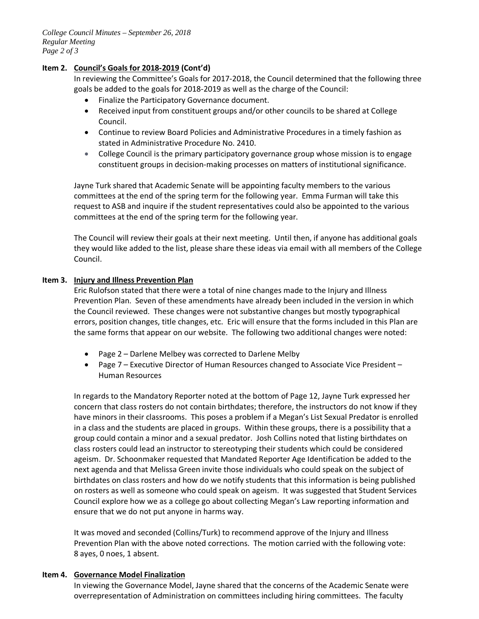*College Council Minutes – September 26, 2018 Regular Meeting Page 2 of 3*

### **Item 2. Council's Goals for 2018-2019 (Cont'd)**

In reviewing the Committee's Goals for 2017-2018, the Council determined that the following three goals be added to the goals for 2018-2019 as well as the charge of the Council:

- Finalize the Participatory Governance document.
- Received input from constituent groups and/or other councils to be shared at College Council.
- Continue to review Board Policies and Administrative Procedures in a timely fashion as stated in Administrative Procedure No. 2410.
- College Council is the primary participatory governance group whose mission is to engage constituent groups in decision-making processes on matters of institutional significance.

Jayne Turk shared that Academic Senate will be appointing faculty members to the various committees at the end of the spring term for the following year. Emma Furman will take this request to ASB and inquire if the student representatives could also be appointed to the various committees at the end of the spring term for the following year.

The Council will review their goals at their next meeting. Until then, if anyone has additional goals they would like added to the list, please share these ideas via email with all members of the College Council.

### **Item 3. Injury and Illness Prevention Plan**

Eric Rulofson stated that there were a total of nine changes made to the Injury and Illness Prevention Plan. Seven of these amendments have already been included in the version in which the Council reviewed. These changes were not substantive changes but mostly typographical errors, position changes, title changes, etc. Eric will ensure that the forms included in this Plan are the same forms that appear on our website. The following two additional changes were noted:

- Page 2 Darlene Melbey was corrected to Darlene Melby
- Page 7 Executive Director of Human Resources changed to Associate Vice President Human Resources

In regards to the Mandatory Reporter noted at the bottom of Page 12, Jayne Turk expressed her concern that class rosters do not contain birthdates; therefore, the instructors do not know if they have minors in their classrooms. This poses a problem if a Megan's List Sexual Predator is enrolled in a class and the students are placed in groups. Within these groups, there is a possibility that a group could contain a minor and a sexual predator. Josh Collins noted that listing birthdates on class rosters could lead an instructor to stereotyping their students which could be considered ageism. Dr. Schoonmaker requested that Mandated Reporter Age Identification be added to the next agenda and that Melissa Green invite those individuals who could speak on the subject of birthdates on class rosters and how do we notify students that this information is being published on rosters as well as someone who could speak on ageism. It was suggested that Student Services Council explore how we as a college go about collecting Megan's Law reporting information and ensure that we do not put anyone in harms way.

It was moved and seconded (Collins/Turk) to recommend approve of the Injury and Illness Prevention Plan with the above noted corrections. The motion carried with the following vote: 8 ayes, 0 noes, 1 absent.

#### **Item 4. Governance Model Finalization**

In viewing the Governance Model, Jayne shared that the concerns of the Academic Senate were overrepresentation of Administration on committees including hiring committees. The faculty